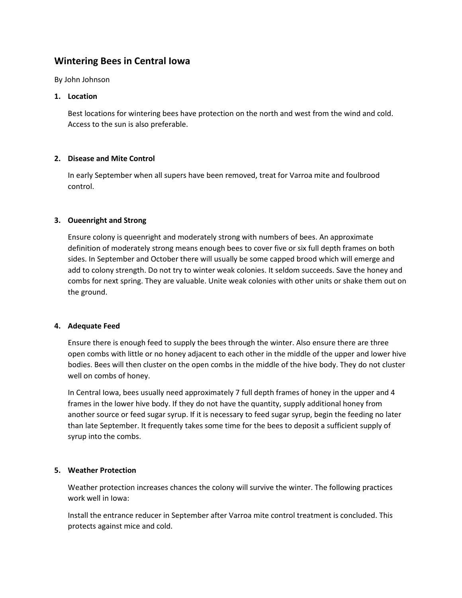# **Wintering Bees in Central Iowa**

By John Johnson

### **1. Location**

Best locations for wintering bees have protection on the north and west from the wind and cold. Access to the sun is also preferable.

## **2. Disease and Mite Control**

In early September when all supers have been removed, treat for Varroa mite and foulbrood control.

## **3. Oueenright and Strong**

Ensure colony is queenright and moderately strong with numbers of bees. An approximate definition of moderately strong means enough bees to cover five or six full depth frames on both sides. In September and October there will usually be some capped brood which will emerge and add to colony strength. Do not try to winter weak colonies. It seldom succeeds. Save the honey and combs for next spring. They are valuable. Unite weak colonies with other units or shake them out on the ground.

### **4. Adequate Feed**

Ensure there is enough feed to supply the bees through the winter. Also ensure there are three open combs with little or no honey adjacent to each other in the middle of the upper and lower hive bodies. Bees will then cluster on the open combs in the middle of the hive body. They do not cluster well on combs of honey.

In Central Iowa, bees usually need approximately 7 full depth frames of honey in the upper and 4 frames in the lower hive body. If they do not have the quantity, supply additional honey from another source or feed sugar syrup. If it is necessary to feed sugar syrup, begin the feeding no later than late September. It frequently takes some time for the bees to deposit a sufficient supply of syrup into the combs.

### **5. Weather Protection**

Weather protection increases chances the colony will survive the winter. The following practices work well in Iowa:

Install the entrance reducer in September after Varroa mite control treatment is concluded. This protects against mice and cold.